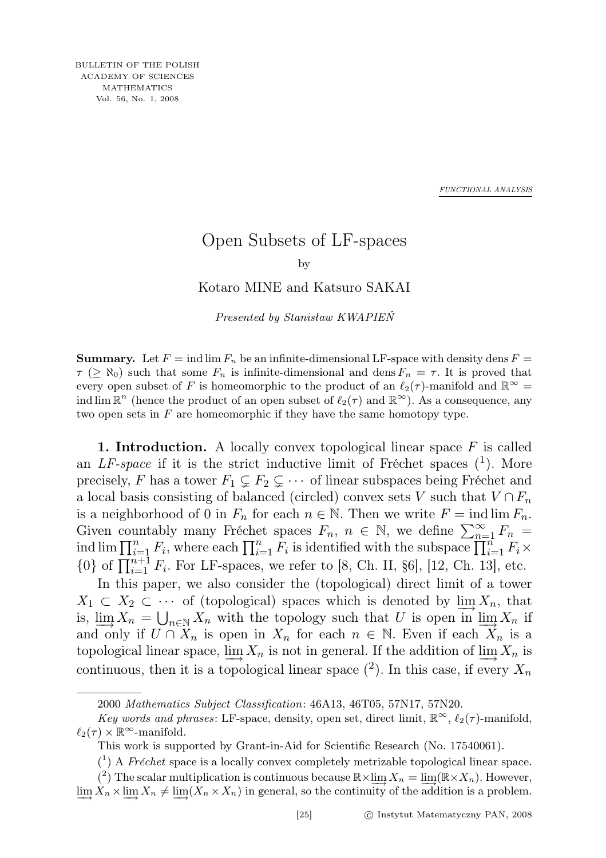*FUNCTIONAL ANALYSIS*

## Open Subsets of LF-spaces

by

Kotaro MINE and Katsuro SAKAI

Presented by Stanisław KWAPIEŃ

**Summary.** Let  $F = \text{ind }\lim F_n$  be an infinite-dimensional LF-space with density dens  $F =$  $\tau$  ( $\geq$  N<sub>0</sub>) such that some  $F_n$  is infinite-dimensional and dens  $F_n = \tau$ . It is proved that every open subset of F is homeomorphic to the product of an  $\ell_2(\tau)$ -manifold and  $\mathbb{R}^{\infty}$ ind  $\lim \mathbb{R}^n$  (hence the product of an open subset of  $\ell_2(\tau)$  and  $\mathbb{R}^\infty$ ). As a consequence, any two open sets in  $F$  are homeomorphic if they have the same homotopy type.

1. Introduction. A locally convex topological linear space  $F$  is called an  $LF$ -space if it is the strict inductive limit of Fréchet spaces  $(1)$ . More precisely, F has a tower  $F_1 \subsetneq F_2 \subsetneq \cdots$  of linear subspaces being Fréchet and a local basis consisting of balanced (circled) convex sets V such that  $V \cap F_n$ is a neighborhood of 0 in  $F_n$  for each  $n \in \mathbb{N}$ . Then we write  $F = \text{ind }\lim F_n$ . Given countably many Fréchet spaces  $F_n$ ,  $n \in \mathbb{N}$ , we define  $\sum_{n=1}^{\infty} F_n$ ind  $\lim \prod_{i=1}^n F_i$ , where each  $\prod_{i=1}^n F_i$  is identified with the subspace  $\prod_{i=1}^n F_i \times$  ${0}$  of  $\prod_{i=1}^{n+1} F_i$ . For LF-spaces, we refer to [8, Ch. II, §6], [12, Ch. 13], etc.

In this paper, we also consider the (topological) direct limit of a tower  $X_1 \subset X_2 \subset \cdots$  of (topological) spaces which is denoted by  $\lim_{\longrightarrow} X_n$ , that is,  $\lim_{n \to \infty} X_n = \bigcup_{n \in \mathbb{N}} X_n$  with the topology such that U is open in  $\lim_{n \to \infty} X_n$  if and only if  $U \cap X_n$  is open in  $X_n$  for each  $n \in \mathbb{N}$ . Even if each  $X_n$  is a topological linear space,  $\underline{\lim} X_n$  is not in general. If the addition of  $\underline{\lim} X_n$  is continuous, then it is a topological linear space  $(2)$ . In this case, if every  $X_n$ 

<sup>2000</sup> Mathematics Subject Classification: 46A13, 46T05, 57N17, 57N20.

Key words and phrases: LF-space, density, open set, direct limit,  $\mathbb{R}^{\infty}$ ,  $\ell_2(\tau)$ -manifold,  $\ell_2(\tau) \times \mathbb{R}^\infty$ -manifold.

This work is supported by Grant-in-Aid for Scientific Research (No. 17540061).

 $({}^{1})$  A Fréchet space is a locally convex completely metrizable topological linear space. (<sup>2</sup>) The scalar multiplication is continuous because  $\mathbb{R} \times \lim_{n \to \infty} X_n = \lim_{n \to \infty} (\mathbb{R} \times X_n)$ . However,  $\varinjlim X_n \times \varinjlim X_n \neq \varinjlim (X_n \times X_n)$  in general, so the continuity of the addition is a problem.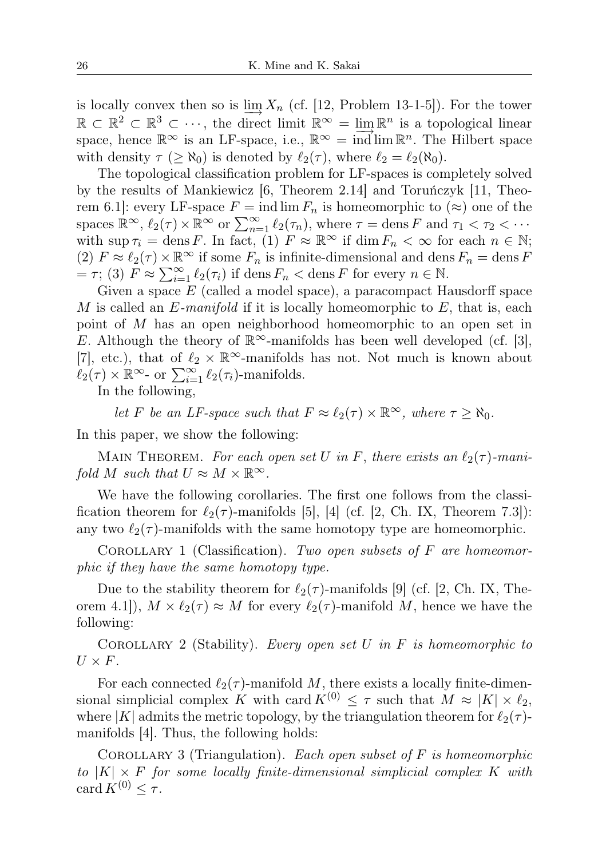is locally convex then so is  $\lim_{n \to \infty} X_n$  (cf. [12, Problem 13-1-5]). For the tower  $\mathbb{R} \subset \mathbb{R}^2 \subset \mathbb{R}^3 \subset \cdots$ , the direct limit  $\mathbb{R}^\infty = \lim_{n \to \infty} \mathbb{R}^n$  is a topological linear space, hence  $\mathbb{R}^{\infty}$  is an LF-space, i.e.,  $\mathbb{R}^{\infty} = \overrightarrow{\text{ind}} \lim \mathbb{R}^{n}$ . The Hilbert space with density  $\tau$  ( $\geq \aleph_0$ ) is denoted by  $\ell_2(\tau)$ , where  $\ell_2 = \ell_2(\aleph_0)$ .

The topological classification problem for LF-spaces is completely solved by the results of Mankiewicz [6, Theorem 2.14] and Toruńczyk [11, Theorem 6.1]: every LF-space  $F = \text{ind }\lim F_n$  is homeomorphic to  $(\approx)$  one of the spaces  $\mathbb{R}^{\infty}$ ,  $\ell_2(\tau) \times \mathbb{R}^{\infty}$  or  $\sum_{n=1}^{\infty} \ell_2(\tau_n)$ , where  $\tau = \text{dens } F$  and  $\tau_1 < \tau_2 < \cdots$ with sup  $\tau_i = \text{dens } F$ . In fact, (1)  $F \approx \mathbb{R}^\infty$  if  $\dim F_n < \infty$  for each  $n \in \mathbb{N}$ ; (2)  $F \approx \ell_2(\tau) \times \mathbb{R}^\infty$  if some  $F_n$  is infinite-dimensional and dens  $F_n = \text{dens } F$ =  $\tau$ ; (3)  $F \approx \sum_{i=1}^{\infty} \ell_2(\tau_i)$  if dens  $F_n <$  dens  $F$  for every  $n \in \mathbb{N}$ .

Given a space  $E$  (called a model space), a paracompact Hausdorff space M is called an  $E$ -manifold if it is locally homeomorphic to  $E$ , that is, each point of M has an open neighborhood homeomorphic to an open set in E. Although the theory of  $\mathbb{R}^{\infty}$ -manifolds has been well developed (cf. [3], [7], etc.), that of  $\ell_2 \times \mathbb{R}^\infty$ -manifolds has not. Not much is known about  $\ell_2(\tau) \times \mathbb{R}^{\infty}$ - or  $\sum_{i=1}^{\infty} \ell_2(\tau_i)$ -manifolds.

In the following,

let F be an LF-space such that  $F \approx \ell_2(\tau) \times \mathbb{R}^\infty$ , where  $\tau \geq \aleph_0$ .

In this paper, we show the following:

MAIN THEOREM. For each open set U in F, there exists an  $\ell_2(\tau)$ -manifold M such that  $U \approx M \times \mathbb{R}^{\infty}$ .

We have the following corollaries. The first one follows from the classification theorem for  $\ell_2(\tau)$ -manifolds [5], [4] (cf. [2, Ch. IX, Theorem 7.3]): any two  $\ell_2(\tau)$ -manifolds with the same homotopy type are homeomorphic.

COROLLARY 1 (Classification). Two open subsets of  $F$  are homeomorphic if they have the same homotopy type.

Due to the stability theorem for  $\ell_2(\tau)$ -manifolds [9] (cf. [2, Ch. IX, Theorem 4.1]),  $M \times \ell_2(\tau) \approx M$  for every  $\ell_2(\tau)$ -manifold M, hence we have the following:

COROLLARY 2 (Stability). Every open set U in F is homeomorphic to  $U \times F$ .

For each connected  $\ell_2(\tau)$ -manifold M, there exists a locally finite-dimensional simplicial complex K with card  $K^{(0)} \leq \tau$  such that  $M \approx |K| \times \ell_2$ , where |K| admits the metric topology, by the triangulation theorem for  $\ell_2(\tau)$ manifolds [4]. Thus, the following holds:

COROLLARY 3 (Triangulation). Each open subset of  $F$  is homeomorphic to  $|K| \times F$  for some locally finite-dimensional simplicial complex K with card  $K^{(0)} \leq \tau$ .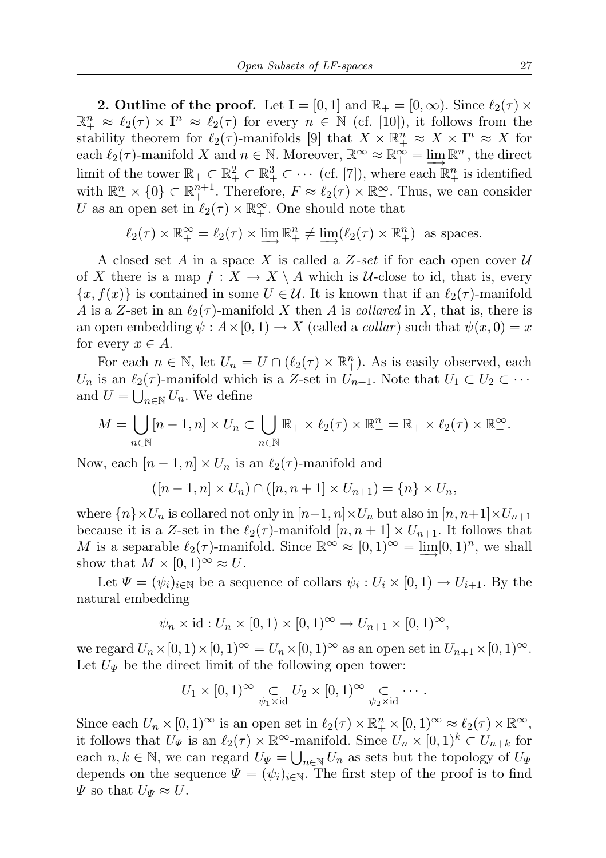**2. Outline of the proof.** Let  $I = [0, 1]$  and  $\mathbb{R}_+ = [0, \infty)$ . Since  $\ell_2(\tau) \times$  $\mathbb{R}^n_+ \approx \ell_2(\tau) \times \mathbf{I}^n \approx \ell_2(\tau)$  for every  $n \in \mathbb{N}$  (cf. [10]), it follows from the stability theorem for  $\ell_2(\tau)$ -manifolds [9] that  $X \times \mathbb{R}^n_+ \approx X \times \mathbf{I}^n \approx X$  for each  $\ell_2(\tau)$ -manifold X and  $n \in \mathbb{N}$ . Moreover,  $\mathbb{R}^{\infty} \approx \mathbb{R}^{\infty} = \lim_{\tau \to 0} \mathbb{R}^n_+$ , the direct limit of the tower  $\mathbb{R}_+ \subset \mathbb{R}_+^2 \subset \mathbb{R}_+^3 \subset \cdots$  (cf. [7]), where each  $\mathbb{R}_+^n$  is identified with  $\mathbb{R}^n_+ \times \{0\} \subset \mathbb{R}^{n+1}_+$ . Therefore,  $F \approx \ell_2(\tau) \times \mathbb{R}^\infty_+$ . Thus, we can consider U as an open set in  $\ell_2(\tau) \times \mathbb{R}_+^{\infty}$ . One should note that

$$
\ell_2(\tau) \times \mathbb{R}_+^{\infty} = \ell_2(\tau) \times \varinjlim \mathbb{R}_+^n \neq \varinjlim (\ell_2(\tau) \times \mathbb{R}_+^n)
$$
 as spaces.

A closed set A in a space X is called a Z-set if for each open cover  $\mathcal U$ of X there is a map  $f: X \to X \setminus A$  which is U-close to id, that is, every  ${x, f(x)}$  is contained in some  $U \in \mathcal{U}$ . It is known that if an  $\ell_2(\tau)$ -manifold A is a Z-set in an  $\ell_2(\tau)$ -manifold X then A is collared in X, that is, there is an open embedding  $\psi: A \times [0, 1) \to X$  (called a *collar*) such that  $\psi(x, 0) = x$ for every  $x \in A$ .

For each  $n \in \mathbb{N}$ , let  $U_n = U \cap (\ell_2(\tau) \times \mathbb{R}^n_+)$ . As is easily observed, each  $U_n$  is an  $\ell_2(\tau)$ -manifold which is a Z-set in  $U_{n+1}$ . Note that  $U_1 \subset U_2 \subset \cdots$ and  $U = \bigcup_{n \in \mathbb{N}} U_n$ . We define

$$
M = \bigcup_{n \in \mathbb{N}} [n-1, n] \times U_n \subset \bigcup_{n \in \mathbb{N}} \mathbb{R}_+ \times \ell_2(\tau) \times \mathbb{R}_+^n = \mathbb{R}_+ \times \ell_2(\tau) \times \mathbb{R}_+^{\infty}.
$$

Now, each  $[n-1, n] \times U_n$  is an  $\ell_2(\tau)$ -manifold and

$$
([n-1, n] \times U_n) \cap ([n, n+1] \times U_{n+1}) = \{n\} \times U_n,
$$

where  $\{n\}\times U_n$  is collared not only in  $[n-1,n]\times U_n$  but also in  $[n, n+1]\times U_{n+1}$ because it is a Z-set in the  $\ell_2(\tau)$ -manifold  $[n, n + 1] \times U_{n+1}$ . It follows that M is a separable  $\ell_2(\tau)$ -manifold. Since  $\mathbb{R}^{\infty} \approx [0,1)^{\infty} = \varinjlim[0,1)^n$ , we shall show that  $M \times [0, 1)^\infty \approx U$ .

Let  $\Psi = (\psi_i)_{i \in \mathbb{N}}$  be a sequence of collars  $\psi_i : U_i \times [0,1) \to U_{i+1}$ . By the natural embedding

$$
\psi_n \times \text{id} : U_n \times [0,1) \times [0,1)^\infty \to U_{n+1} \times [0,1)^\infty,
$$

we regard  $U_n \times [0, 1) \times [0, 1)^\infty = U_n \times [0, 1)^\infty$  as an open set in  $U_{n+1} \times [0, 1)^\infty$ . Let  $U_{\Psi}$  be the direct limit of the following open tower:

$$
U_1 \times [0,1)^\infty \underset{\psi_1 \times \mathrm{id}}{\subset} U_2 \times [0,1)^\infty \underset{\psi_2 \times \mathrm{id}}{\subset} \cdots.
$$

Since each  $U_n \times [0, 1)^\infty$  is an open set in  $\ell_2(\tau) \times \mathbb{R}^n_+ \times [0, 1)^\infty \approx \ell_2(\tau) \times \mathbb{R}^\infty$ , it follows that  $U_{\Psi}$  is an  $\ell_2(\tau) \times \mathbb{R}^{\infty}$ -manifold. Since  $U_n \times [0, 1)^k \subset U_{n+k}$  for each  $n, k \in \mathbb{N}$ , we can regard  $U_{\Psi} = \bigcup_{n \in \mathbb{N}} U_n$  as sets but the topology of  $U_{\Psi}$ depends on the sequence  $\Psi = (\psi_i)_{i \in \mathbb{N}}$ . The first step of the proof is to find  $\Psi$  so that  $U_{\Psi} \approx U$ .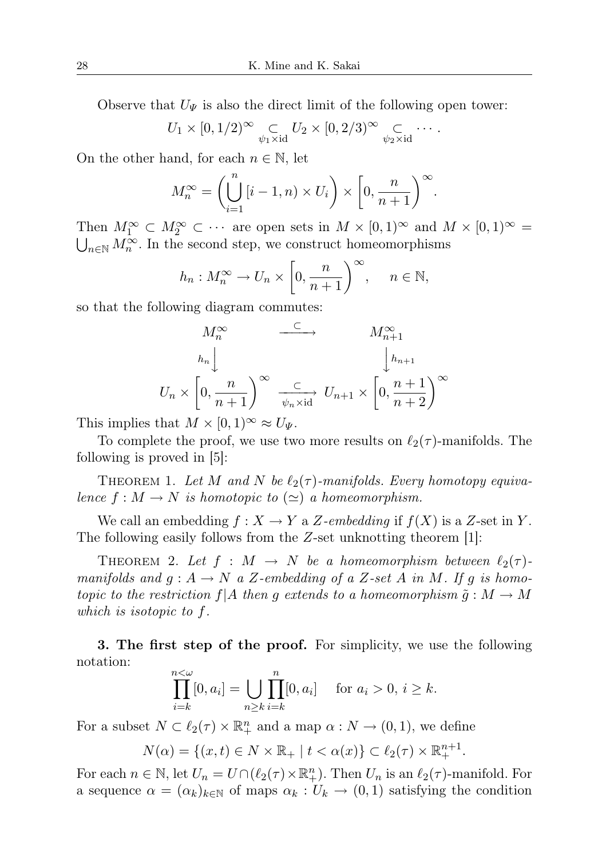Observe that  $U_{\Psi}$  is also the direct limit of the following open tower:

$$
U_1 \times [0, 1/2)^\infty \underset{\psi_1 \times \mathrm{id}}{\subset} U_2 \times [0, 2/3)^\infty \underset{\psi_2 \times \mathrm{id}}{\subset} \cdots.
$$

On the other hand, for each  $n \in \mathbb{N}$ , let

$$
M_n^{\infty} = \left(\bigcup_{i=1}^n \left[i-1, n\right) \times U_i\right) \times \left[0, \frac{n}{n+1}\right)^{\infty}.
$$

Then  $M_1^{\infty} \subset M_2^{\infty} \subset \cdots$  are open sets in  $M \times [0,1)^{\infty}$  and  $M \times [0,1)^{\infty} = \bigcup_{n \in \mathbb{N}} M_n^{\infty}$ . In the second step, we construct homeomorphisms  $n \in \mathbb{N}$  M<sup>∞</sup>. In the second step, we construct homeomorphisms

$$
h_n: M_n^{\infty} \to U_n \times \left[0, \frac{n}{n+1}\right)^{\infty}, \quad n \in \mathbb{N},
$$

so that the following diagram commutes:

$$
M_n^{\infty} \xrightarrow{\subset} M_{n+1}^{\infty}
$$
\n
$$
U_n \times \left[0, \frac{n}{n+1}\right)^{\infty} \xrightarrow{\subset} U_{n+1} \times \left[0, \frac{n+1}{n+2}\right)^{\infty}
$$

This implies that  $M \times [0,1)^\infty \approx U_{\Psi}$ .

To complete the proof, we use two more results on  $\ell_2(\tau)$ -manifolds. The following is proved in [5]:

THEOREM 1. Let M and N be  $\ell_2(\tau)$ -manifolds. Every homotopy equivalence  $f : M \to N$  is homotopic to  $(\simeq)$  a homeomorphism.

We call an embedding  $f: X \to Y$  a Z-embedding if  $f(X)$  is a Z-set in Y. The following easily follows from the Z-set unknotting theorem [1]:

THEOREM 2. Let  $f : M \to N$  be a homeomorphism between  $\ell_2(\tau)$ manifolds and  $g : A \to N$  a Z-embedding of a Z-set A in M. If g is homotopic to the restriction  $f|A$  then g extends to a homeomorphism  $\tilde{g}: M \to M$ which is isotopic to f.

3. The first step of the proof. For simplicity, we use the following notation:

$$
\prod_{i=k}^{n<\omega}[0,a_i]=\bigcup_{n\geq k}\prod_{i=k}^n[0,a_i] \text{ for } a_i>0, i\geq k.
$$

For a subset  $N \subset \ell_2(\tau) \times \mathbb{R}^n_+$  and a map  $\alpha : N \to (0,1)$ , we define

$$
N(\alpha) = \{(x, t) \in N \times \mathbb{R}_+ \mid t < \alpha(x)\} \subset \ell_2(\tau) \times \mathbb{R}^{n+1}_+.
$$

For each  $n \in \mathbb{N}$ , let  $U_n = U \cap (\ell_2(\tau) \times \mathbb{R}^n_+)$ . Then  $U_n$  is an  $\ell_2(\tau)$ -manifold. For a sequence  $\alpha = (\alpha_k)_{k \in \mathbb{N}}$  of maps  $\alpha_k : U_k \to (0,1)$  satisfying the condition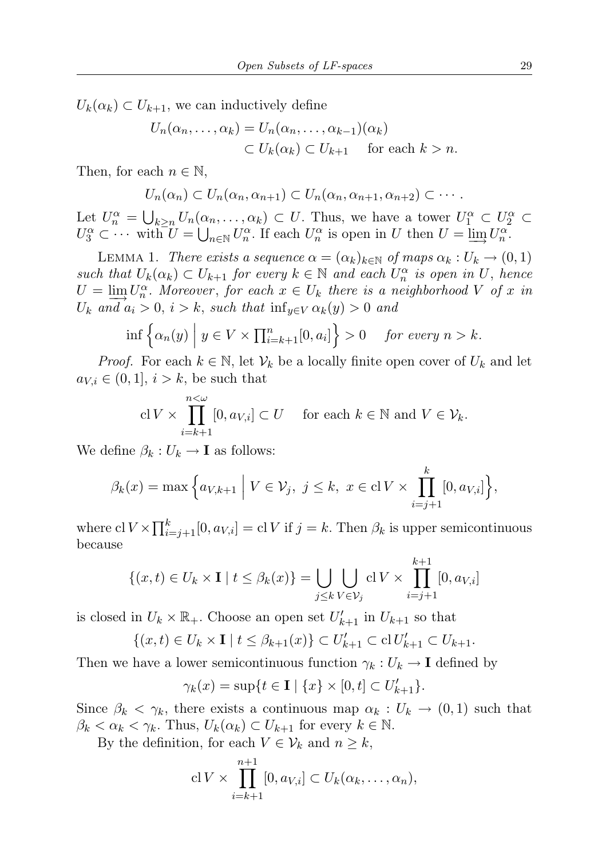$U_k(\alpha_k) \subset U_{k+1}$ , we can inductively define

$$
U_n(\alpha_n, \dots, \alpha_k) = U_n(\alpha_n, \dots, \alpha_{k-1})(\alpha_k)
$$
  

$$
\subset U_k(\alpha_k) \subset U_{k+1} \quad \text{for each } k > n.
$$

Then, for each  $n \in \mathbb{N}$ ,

$$
U_n(\alpha_n) \subset U_n(\alpha_n, \alpha_{n+1}) \subset U_n(\alpha_n, \alpha_{n+1}, \alpha_{n+2}) \subset \cdots
$$

Let  $U_n^{\alpha} = \bigcup_{k \geq n} U_n(\alpha_n, \dots, \alpha_k) \subset U$ . Thus, we have a tower  $U_1^{\alpha} \subset U_2^{\alpha} \subset$  $U_3^{\alpha} \subset \cdots$  with  $U = \bigcup_{n \in \mathbb{N}} U_n^{\alpha}$ . If each  $U_n^{\alpha}$  is open in U then  $U = \underline{\lim}_{n} U_n^{\alpha}$ .

LEMMA 1. There exists a sequence  $\alpha = (\alpha_k)_{k \in \mathbb{N}}$  of maps  $\alpha_k : U_k \to (0,1)$ such that  $U_k(\alpha_k) \subset U_{k+1}$  for every  $k \in \mathbb{N}$  and each  $U_n^{\alpha}$  is open in U, hence  $U = \lim_{n \to \infty} U_n^{\alpha}$ . Moreover, for each  $x \in U_k$  there is a neighborhood V of x in  $U_k$  and  $a_i > 0$ ,  $i > k$ , such that  $\inf_{y \in V} \alpha_k(y) > 0$  and

$$
\inf \left\{ \alpha_n(y) \mid y \in V \times \prod_{i=k+1}^n [0, a_i] \right\} > 0 \quad \text{for every } n > k.
$$

*Proof.* For each  $k \in \mathbb{N}$ , let  $V_k$  be a locally finite open cover of  $U_k$  and let  $a_{V,i} \in (0,1], i > k$ , be such that

$$
\mathrm{cl}\, V \times \prod_{i=k+1}^{n < \omega} [0, a_{V,i}] \subset U \quad \text{ for each } k \in \mathbb{N} \text{ and } V \in \mathcal{V}_k.
$$

We define  $\beta_k: U_k \to \mathbf{I}$  as follows:

$$
\beta_k(x) = \max \Big\{ a_{V,k+1} \mid V \in \mathcal{V}_j, \ j \leq k, \ x \in \text{cl } V \times \prod_{i=j+1}^k [0, a_{V,i}] \Big\},\
$$

where  $\mathrm{cl} V \times \prod_{i=j+1}^k [0, a_{V,i}] = \mathrm{cl} V$  if  $j = k$ . Then  $\beta_k$  is upper semicontinuous because

$$
\{(x,t)\in U_k\times\mathbf{I} \mid t\leq \beta_k(x)\} = \bigcup_{j\leq k} \bigcup_{V\in\mathcal{V}_j} \text{cl } V\times \prod_{i=j+1}^{k+1} [0, a_{V,i}]
$$

is closed in  $U_k \times \mathbb{R}_+$ . Choose an open set  $U'_{k+1}$  in  $U_{k+1}$  so that

$$
\{(x,t) \in U_k \times \mathbf{I} \mid t \leq \beta_{k+1}(x)\} \subset U'_{k+1} \subset \mathrm{cl}\, U'_{k+1} \subset U_{k+1}.
$$

Then we have a lower semicontinuous function  $\gamma_k : U_k \to \mathbf{I}$  defined by

$$
\gamma_k(x) = \sup\{t \in \mathbf{I} \mid \{x\} \times [0, t] \subset U'_{k+1}\}.
$$

Since  $\beta_k < \gamma_k$ , there exists a continuous map  $\alpha_k : U_k \to (0,1)$  such that  $\beta_k < \alpha_k < \gamma_k$ . Thus,  $U_k(\alpha_k) \subset U_{k+1}$  for every  $k \in \mathbb{N}$ .

By the definition, for each  $V \in \mathcal{V}_k$  and  $n \geq k$ ,

$$
\mathrm{cl}\, V \times \prod_{i=k+1}^{n+1} [0, a_{V,i}] \subset U_k(\alpha_k, \ldots, \alpha_n),
$$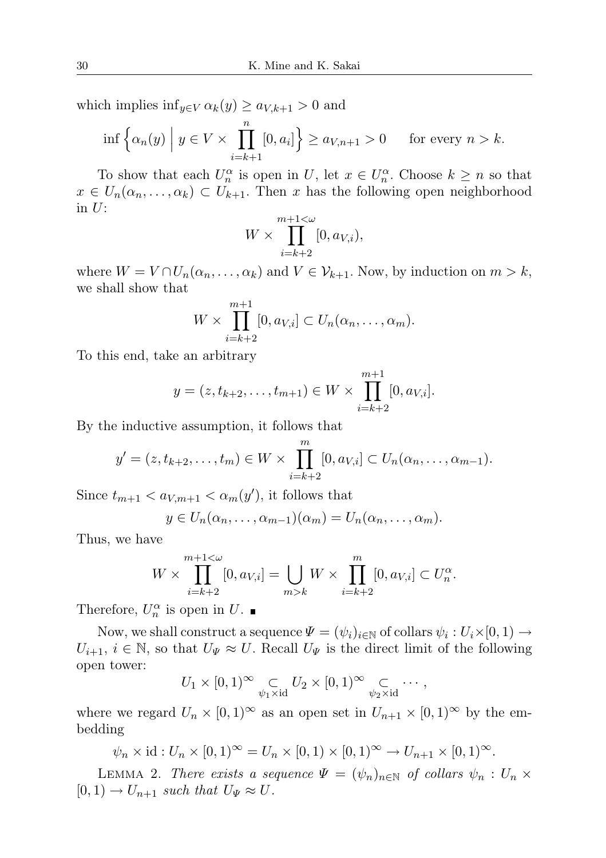which implies  $\inf_{y\in V} \alpha_k(y) \geq a_{V,k+1} > 0$  and

$$
\inf \left\{ \alpha_n(y) \mid y \in V \times \prod_{i=k+1}^n [0, a_i] \right\} \ge a_{V, n+1} > 0 \quad \text{for every } n > k.
$$

To show that each  $U_n^{\alpha}$  is open in U, let  $x \in U_n^{\alpha}$ . Choose  $k \geq n$  so that  $x \in U_n(\alpha_n, \dots, \alpha_k) \subset U_{k+1}$ . Then x has the following open neighborhood in  $U$ :

$$
W \times \prod_{i=k+2}^{m+1 < \omega} [0, a_{V,i}),
$$

where  $W = V \cap U_n(\alpha_n, \dots, \alpha_k)$  and  $V \in \mathcal{V}_{k+1}$ . Now, by induction on  $m > k$ , we shall show that

$$
W \times \prod_{i=k+2}^{m+1} [0, a_{V,i}] \subset U_n(\alpha_n, \dots, \alpha_m).
$$

To this end, take an arbitrary

$$
y = (z, t_{k+2}, \dots, t_{m+1}) \in W \times \prod_{i=k+2}^{m+1} [0, a_{V,i}].
$$

By the inductive assumption, it follows that

$$
y' = (z, t_{k+2},..., t_m) \in W \times \prod_{i=k+2}^{m} [0, a_{V,i}] \subset U_n(\alpha_n,..., \alpha_{m-1}).
$$

Since  $t_{m+1} < a_{V,m+1} < \alpha_m(y')$ , it follows that

$$
y\in U_n(\alpha_n,\ldots,\alpha_{m-1})(\alpha_m)=U_n(\alpha_n,\ldots,\alpha_m).
$$

Thus, we have

$$
W \times \prod_{i=k+2}^{m+1 < \omega} [0, a_{V,i}] = \bigcup_{m > k} W \times \prod_{i=k+2}^{m} [0, a_{V,i}] \subset U_n^{\alpha}.
$$

Therefore,  $U_n^{\alpha}$  is open in U.

Now, we shall construct a sequence  $\Psi = (\psi_i)_{i \in \mathbb{N}}$  of collars  $\psi_i : U_i \times [0,1) \to$  $U_{i+1}, i \in \mathbb{N}$ , so that  $U_{\Psi} \approx U$ . Recall  $U_{\Psi}$  is the direct limit of the following open tower:

$$
U_1 \times [0,1)^\infty \underset{\psi_1 \times \mathrm{id}}{\subset} U_2 \times [0,1)^\infty \underset{\psi_2 \times \mathrm{id}}{\subset} \cdots,
$$

where we regard  $U_n \times [0,1)^\infty$  as an open set in  $U_{n+1} \times [0,1)^\infty$  by the embedding

 $\psi_n \times id : U_n \times [0,1]^\infty = U_n \times [0,1] \times [0,1]^\infty \to U_{n+1} \times [0,1]^\infty.$ 

LEMMA 2. There exists a sequence  $\Psi = (\psi_n)_{n \in \mathbb{N}}$  of collars  $\psi_n : U_n \times$  $[0, 1) \rightarrow U_{n+1}$  such that  $U_{\Psi} \approx U$ .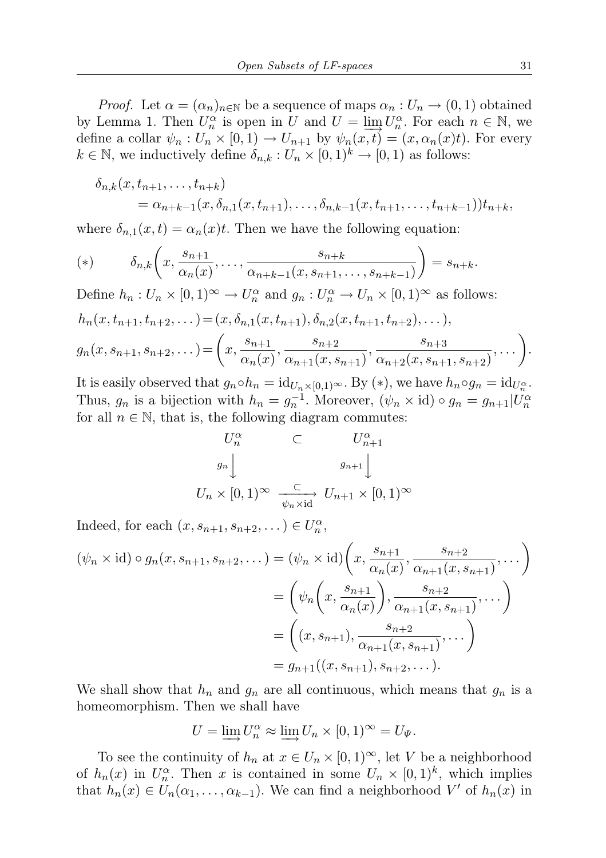*Proof.* Let  $\alpha = (\alpha_n)_{n \in \mathbb{N}}$  be a sequence of maps  $\alpha_n : U_n \to (0,1)$  obtained by Lemma 1. Then  $U_n^{\alpha}$  is open in U and  $U = \lim_{n \to \infty} U_n^{\alpha}$ . For each  $n \in \mathbb{N}$ , we define a collar  $\psi_n: U_n \times [0,1) \to U_{n+1}$  by  $\psi_n(x,t) = (x, \alpha_n(x)t)$ . For every  $k \in \mathbb{N}$ , we inductively define  $\delta_{n,k}: U_n \times [0,1)^k \to [0,1)$  as follows:

$$
\delta_{n,k}(x, t_{n+1}, \dots, t_{n+k})
$$
  
=  $\alpha_{n+k-1}(x, \delta_{n,1}(x, t_{n+1}), \dots, \delta_{n,k-1}(x, t_{n+1}, \dots, t_{n+k-1}))t_{n+k},$ 

where  $\delta_{n,1}(x,t) = \alpha_n(x)t$ . Then we have the following equation:

(\*) 
$$
\delta_{n,k}\left(x,\frac{s_{n+1}}{\alpha_n(x)},\ldots,\frac{s_{n+k}}{\alpha_{n+k-1}(x,s_{n+1},\ldots,s_{n+k-1})}\right)=s_{n+k}.
$$

Define  $h_n: U_n \times [0,1)^\infty \to U_n^\alpha$  and  $g_n: U_n^\alpha \to U_n \times [0,1)^\infty$  as follows:  $h_n(x, t_{n+1}, t_{n+2}, \dots) = (x, \delta_{n,1}(x, t_{n+1}), \delta_{n,2}(x, t_{n+1}, t_{n+2}), \dots),$  $g_n(x, s_{n+1}, s_{n+2}, \dots) = \left(x, \frac{s_{n+1}}{s_{n+1}}\right)$  $\frac{s_{n+1}}{\alpha_n(x)}, \frac{s_{n+2}}{\alpha_{n+1}(x, s)}$  $\frac{s_{n+2}}{\alpha_{n+1}(x, s_{n+1})}, \frac{s_{n+3}}{\alpha_{n+2}(x, s_{n+1})}$  $\alpha_{n+2}(x, s_{n+1}, s_{n+2})$  $,... \big).$ 

It is easily observed that  $g_n \circ h_n = id_{U_n \times [0,1)} \circledast$ . By (\*), we have  $h_n \circ g_n = id_{U_n^{\alpha}}$ . Thus,  $g_n$  is a bijection with  $h_n = g_n^{-1}$ . Moreover,  $(\psi_n \times id) \circ g_n = g_{n+1}|U_n^{\alpha}$ for all  $n \in \mathbb{N}$ , that is, the following diagram commutes:

$$
U_n^{\alpha} \subset U_{n+1}^{\alpha}
$$
  

$$
g_n \downarrow \qquad \qquad g_{n+1} \downarrow
$$
  

$$
U_n \times [0,1)^{\infty} \xrightarrow[\psi_n \times \text{id}]{\mathbb{C}} U_{n+1} \times [0,1)^{\infty}
$$

Indeed, for each  $(x, s_{n+1}, s_{n+2}, \dots) \in U_n^{\alpha}$ ,

$$
(\psi_n \times \text{id}) \circ g_n(x, s_{n+1}, s_{n+2}, \dots) = (\psi_n \times \text{id}) \left( x, \frac{s_{n+1}}{\alpha_n(x)}, \frac{s_{n+2}}{\alpha_{n+1}(x, s_{n+1})}, \dots \right)
$$
  
= 
$$
\left( \psi_n \left( x, \frac{s_{n+1}}{\alpha_n(x)} \right), \frac{s_{n+2}}{\alpha_{n+1}(x, s_{n+1})}, \dots \right)
$$
  
= 
$$
\left( (x, s_{n+1}), \frac{s_{n+2}}{\alpha_{n+1}(x, s_{n+1})}, \dots \right)
$$
  
= 
$$
g_{n+1}((x, s_{n+1}), s_{n+2}, \dots).
$$

We shall show that  $h_n$  and  $g_n$  are all continuous, which means that  $g_n$  is a homeomorphism. Then we shall have

$$
U = \varinjlim U_n^{\alpha} \approx \varinjlim U_n \times [0,1)^{\infty} = U_{\Psi}.
$$

To see the continuity of  $h_n$  at  $x \in U_n \times [0,1)^\infty$ , let V be a neighborhood of  $h_n(x)$  in  $U_n^{\alpha}$ . Then x is contained in some  $U_n \times [0,1)^k$ , which implies that  $h_n(x) \in U_n(\alpha_1, \ldots, \alpha_{k-1})$ . We can find a neighborhood V' of  $h_n(x)$  in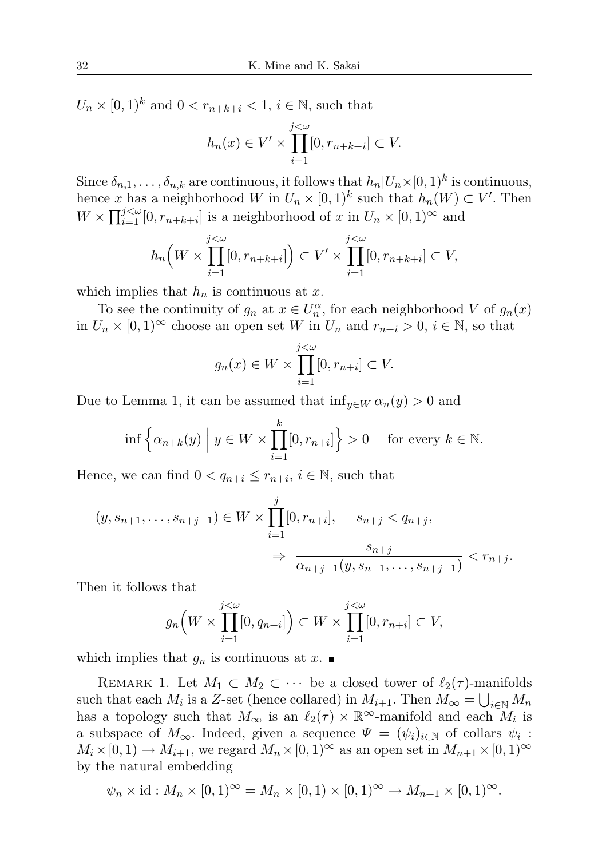$U_n \times [0,1)^k$  and  $0 < r_{n+k+i} < 1, i \in \mathbb{N}$ , such that

$$
h_n(x) \in V' \times \prod_{i=1}^{j < \omega} [0, r_{n+k+i}] \subset V.
$$

Since  $\delta_{n,1}, \ldots, \delta_{n,k}$  are continuous, it follows that  $h_n | U_n \times [0,1)^k$  is continuous, hence x has a neighborhood W in  $U_n \times [0,1)^k$  such that  $h_n(W) \subset V'$ . Then  $W \times \prod_{i=1}^{j \lt \omega} [0, r_{n+k+i}]$  is a neighborhood of x in  $U_n \times [0, 1)^\infty$  and

$$
h_n\Big(W \times \prod_{i=1}^{j<\omega} [0, r_{n+k+i}] \Big) \subset V' \times \prod_{i=1}^{j<\omega} [0, r_{n+k+i}] \subset V,
$$

which implies that  $h_n$  is continuous at x.

To see the continuity of  $g_n$  at  $x \in U_n^{\alpha}$ , for each neighborhood V of  $g_n(x)$ in  $U_n \times [0,1]^\infty$  choose an open set W in  $U_n$  and  $r_{n+i} > 0$ ,  $i \in \mathbb{N}$ , so that

$$
g_n(x) \in W \times \prod_{i=1}^{j < \omega} [0, r_{n+i}] \subset V.
$$

Due to Lemma 1, it can be assumed that  $\inf_{y \in W} \alpha_n(y) > 0$  and

$$
\inf \left\{ \alpha_{n+k}(y) \mid y \in W \times \prod_{i=1}^k [0, r_{n+i}] \right\} > 0 \quad \text{ for every } k \in \mathbb{N}.
$$

Hence, we can find  $0 < q_{n+i} \leq r_{n+i}$ ,  $i \in \mathbb{N}$ , such that

$$
(y, s_{n+1}, \dots, s_{n+j-1}) \in W \times \prod_{i=1}^{j} [0, r_{n+i}], \quad s_{n+j} < q_{n+j},
$$
  

$$
\Rightarrow \frac{s_{n+j}}{\alpha_{n+j-1}(y, s_{n+1}, \dots, s_{n+j-1})} < r_{n+j}.
$$

Then it follows that

$$
g_n\Big(W \times \prod_{i=1}^{j<\omega} [0, q_{n+i}]\Big) \subset W \times \prod_{i=1}^{j<\omega} [0, r_{n+i}] \subset V,
$$

which implies that  $g_n$  is continuous at  $x$ .

REMARK 1. Let  $M_1 \subset M_2 \subset \cdots$  be a closed tower of  $\ell_2(\tau)$ -manifolds such that each  $M_i$  is a Z-set (hence collared) in  $M_{i+1}$ . Then  $M_{\infty} = \bigcup_{i \in \mathbb{N}} M_n$ has a topology such that  $M_{\infty}$  is an  $\ell_2(\tau) \times \mathbb{R}^{\infty}$ -manifold and each  $M_i$  is a subspace of  $M_{\infty}$ . Indeed, given a sequence  $\Psi = (\psi_i)_{i \in \mathbb{N}}$  of collars  $\psi_i$ :  $M_i \times [0, 1) \to M_{i+1}$ , we regard  $M_n \times [0, 1)^\infty$  as an open set in  $M_{n+1} \times [0, 1)^\infty$ by the natural embedding

$$
\psi_n \times id : M_n \times [0,1)^\infty = M_n \times [0,1) \times [0,1)^\infty \to M_{n+1} \times [0,1)^\infty.
$$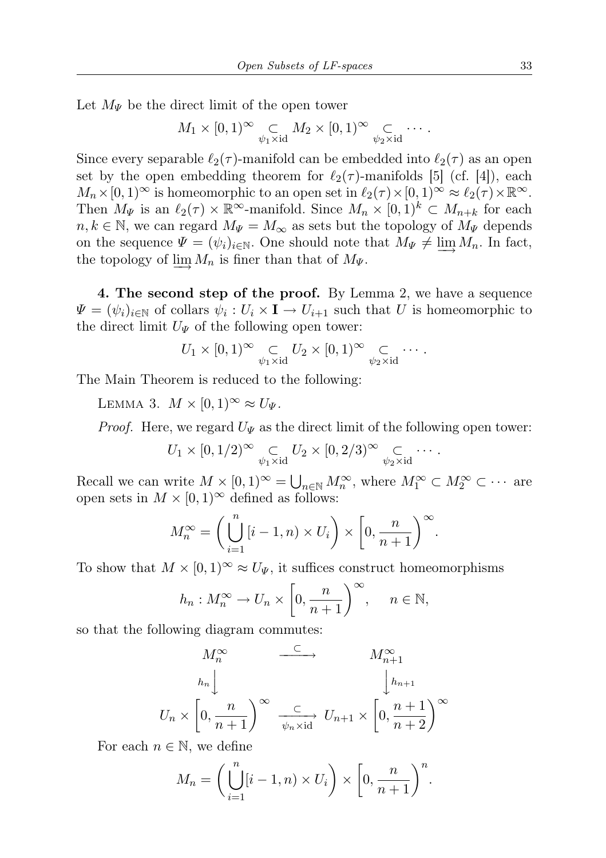Let  $M_{\Psi}$  be the direct limit of the open tower

$$
M_1 \times [0,1)^\infty \underset{\psi_1 \times \mathrm{id}}{\subset} M_2 \times [0,1)^\infty \underset{\psi_2 \times \mathrm{id}}{\subset} \cdots
$$

Since every separable  $\ell_2(\tau)$ -manifold can be embedded into  $\ell_2(\tau)$  as an open set by the open embedding theorem for  $\ell_2(\tau)$ -manifolds [5] (cf. [4]), each  $M_n\times[0,1)^\infty$  is homeomorphic to an open set in  $\ell_2(\tau)\times[0,1)^\infty\approx \ell_2(\tau)\times\mathbb{R}^\infty$ . Then  $M_{\Psi}$  is an  $\ell_2(\tau) \times \mathbb{R}^{\infty}$ -manifold. Since  $M_n \times [0,1)^k \subset M_{n+k}$  for each  $n, k \in \mathbb{N}$ , we can regard  $M_{\Psi} = M_{\infty}$  as sets but the topology of  $M_{\Psi}$  depends on the sequence  $\Psi = (\psi_i)_{i \in \mathbb{N}}$ . One should note that  $M_{\Psi} \neq \varinjlim M_n$ . In fact, the topology of  $\varinjlim M_n$  is finer than that of  $M_{\Psi}$ .

4. The second step of the proof. By Lemma 2, we have a sequence  $\Psi = (\psi_i)_{i \in \mathbb{N}}$  of collars  $\psi_i : U_i \times I \to U_{i+1}$  such that U is homeomorphic to the direct limit  $U_{\Psi}$  of the following open tower:

$$
U_1 \times [0,1)^\infty \underset{\psi_1 \times \mathrm{id}}{\subset} U_2 \times [0,1)^\infty \underset{\psi_2 \times \mathrm{id}}{\subset} \cdots.
$$

The Main Theorem is reduced to the following:

LEMMA 3.  $M \times [0, 1)^\infty \approx U_\Psi$ .

*Proof.* Here, we regard  $U_{\Psi}$  as the direct limit of the following open tower:

$$
U_1 \times [0, 1/2)^\infty \underset{\psi_1 \times \mathrm{id}}{\subset} U_2 \times [0, 2/3)^\infty \underset{\psi_2 \times \mathrm{id}}{\subset} \cdots.
$$

Recall we can write  $M \times [0,1)^\infty = \bigcup_{n \in \mathbb{N}} M_n^\infty$ , where  $M_1^\infty \subset M_2^\infty \subset \cdots$  are open sets in  $M \times [0, 1)^\infty$  defined as follows:

$$
M_n^{\infty} = \left(\bigcup_{i=1}^n \left[i-1, n\right) \times U_i\right) \times \left[0, \frac{n}{n+1}\right)^{\infty}.
$$

To show that  $M \times [0, 1)^\infty \approx U_{\Psi}$ , it suffices construct homeomorphisms

$$
h_n: M_n^{\infty} \to U_n \times \left[0, \frac{n}{n+1}\right)^{\infty}, \quad n \in \mathbb{N},
$$

so that the following diagram commutes:

$$
M_n^{\infty} \xrightarrow{\subset} M_{n+1}^{\infty}
$$
  
\n
$$
U_n \times \left[0, \frac{n}{n+1}\right)^{\infty} \xrightarrow{\subset} \left[0, \frac{n+1}{n+2}\right)^{\infty}
$$
  
\n
$$
U_{n+1} \times \left[0, \frac{n+1}{n+2}\right)^{\infty}
$$

For each  $n \in \mathbb{N}$ , we define

$$
M_n = \left(\bigcup_{i=1}^n [i-1, n) \times U_i\right) \times \left[0, \frac{n}{n+1}\right)^n.
$$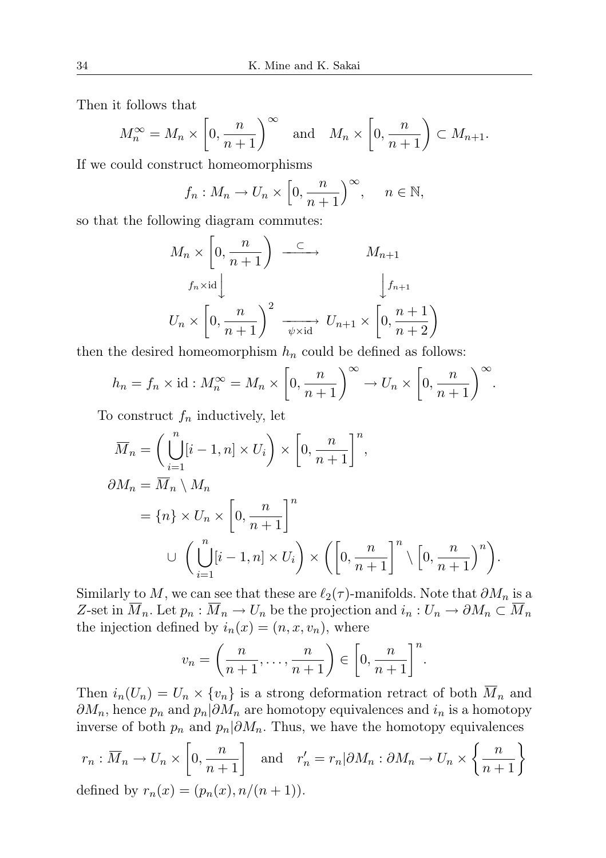Then it follows that

$$
M_n^{\infty} = M_n \times \left[0, \frac{n}{n+1}\right)^{\infty}
$$
 and  $M_n \times \left[0, \frac{n}{n+1}\right) \subset M_{n+1}$ .

If we could construct homeomorphisms

$$
f_n: M_n \to U_n \times \left[0, \frac{n}{n+1}\right)^{\infty}, \quad n \in \mathbb{N},
$$

so that the following diagram commutes:

$$
M_n \times \left[0, \frac{n}{n+1}\right) \xrightarrow{\subset} M_{n+1}
$$
  

$$
f_n \times \text{id} \downarrow \qquad f_{n+1}
$$
  

$$
U_n \times \left[0, \frac{n}{n+1}\right)^2 \xrightarrow{\psi \times \text{id}} U_{n+1} \times \left[0, \frac{n+1}{n+2}\right)
$$

then the desired homeomorphism  $h_n$  could be defined as follows:

$$
h_n = f_n \times \text{id} : M_n^{\infty} = M_n \times \left[0, \frac{n}{n+1}\right)^{\infty} \to U_n \times \left[0, \frac{n}{n+1}\right)^{\infty}.
$$

To construct  $f_n$  inductively, let

$$
\overline{M}_n = \left(\bigcup_{i=1}^n [i-1, n] \times U_i\right) \times \left[0, \frac{n}{n+1}\right]^n,
$$
  
\n
$$
\partial M_n = \overline{M}_n \setminus M_n
$$
  
\n
$$
= \{n\} \times U_n \times \left[0, \frac{n}{n+1}\right]^n
$$
  
\n
$$
\cup \left(\bigcup_{i=1}^n [i-1, n] \times U_i\right) \times \left(\left[0, \frac{n}{n+1}\right]^n \setminus \left[0, \frac{n}{n+1}\right)^n\right).
$$

Similarly to M, we can see that these are  $\ell_2(\tau)$ -manifolds. Note that  $\partial M_n$  is a Z-set in  $\overline{M}_n$ . Let  $p_n : \overline{M}_n \to U_n$  be the projection and  $i_n : U_n \to \partial M_n \subset \overline{M}_n$ the injection defined by  $i_n(x) = (n, x, v_n)$ , where

$$
v_n = \left(\frac{n}{n+1}, \dots, \frac{n}{n+1}\right) \in \left[0, \frac{n}{n+1}\right]^n.
$$

Then  $i_n(U_n) = U_n \times \{v_n\}$  is a strong deformation retract of both  $\overline{M}_n$  and  $\partial M_n$ , hence  $p_n$  and  $p_n|\partial M_n$  are homotopy equivalences and  $i_n$  is a homotopy inverse of both  $p_n$  and  $p_n|\partial M_n$ . Thus, we have the homotopy equivalences

$$
r_n: \overline{M}_n \to U_n \times \left[0, \frac{n}{n+1}\right] \text{ and } r'_n = r_n | \partial M_n: \partial M_n \to U_n \times \left\{\frac{n}{n+1}\right\}
$$
  
defined by  $r_n(x) = (p_n(x), n/(n+1)).$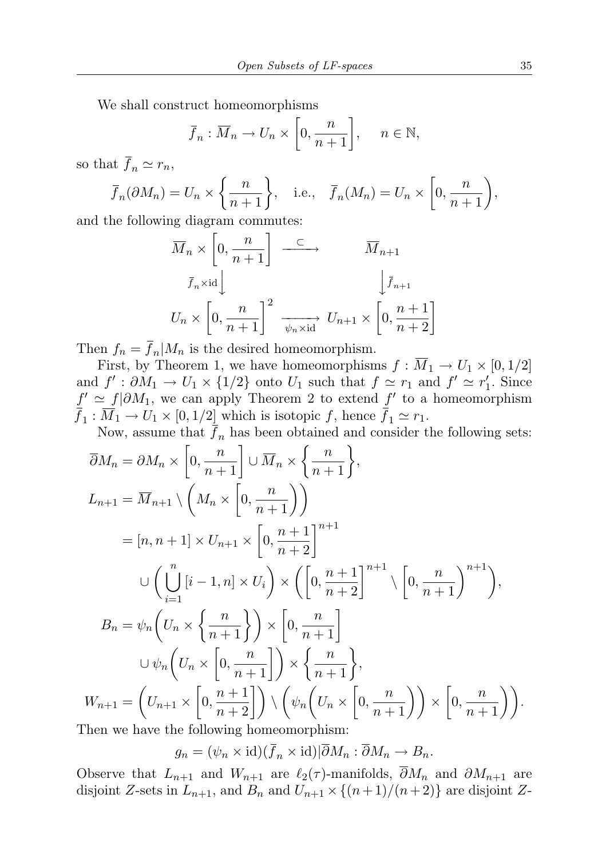We shall construct homeomorphisms

$$
\overline{f}_n : \overline{M}_n \to U_n \times \left[0, \frac{n}{n+1}\right], \quad n \in \mathbb{N},
$$

so that  $\bar{f}_n \simeq r_n$ ,

$$
\overline{f}_n(\partial M_n) = U_n \times \left\{ \frac{n}{n+1} \right\}, \quad \text{i.e.,} \quad \overline{f}_n(M_n) = U_n \times \left[ 0, \frac{n}{n+1} \right),
$$

and the following diagram commutes:

$$
\overline{M}_n \times \left[0, \frac{n}{n+1}\right] \xrightarrow{\subset} \overline{M}_{n+1}
$$
\n
$$
\overline{f}_n \times id \downarrow \qquad \qquad \overline{f}_{n+1}
$$
\n
$$
U_n \times \left[0, \frac{n}{n+1}\right]^2 \xrightarrow[\psi_n \times id]{\psi_n \times id} U_{n+1} \times \left[0, \frac{n+1}{n+2}\right]
$$

Then  $f_n = f_n | M_n$  is the desired homeomorphism.

First, by Theorem 1, we have homeomorphisms  $f : \overline{M}_1 \to U_1 \times [0, 1/2]$ and  $f' : \partial M_1 \to U_1 \times \{1/2\}$  onto  $U_1$  such that  $f \simeq r_1$  and  $f' \simeq r'_1$ . Since  $f' \simeq f | \partial M_1$ , we can apply Theorem 2 to extend f' to a homeomorphism  $f_1: M_1 \to U_1 \times [0, 1/2]$  which is isotopic f, hence  $f_1 \simeq r_1$ .

Now, assume that  $\bar{f}_n$  has been obtained and consider the following sets:

$$
\overline{\partial}M_n = \partial M_n \times \left[0, \frac{n}{n+1}\right] \cup \overline{M}_n \times \left\{\frac{n}{n+1}\right\},
$$
\n
$$
L_{n+1} = \overline{M}_{n+1} \setminus \left(M_n \times \left[0, \frac{n}{n+1}\right]\right)
$$
\n
$$
= [n, n+1] \times U_{n+1} \times \left[0, \frac{n+1}{n+2}\right]^{n+1}
$$
\n
$$
\cup \left(\bigcup_{i=1}^n \left[i-1, n\right] \times U_i\right) \times \left(\left[0, \frac{n+1}{n+2}\right]^{n+1} \setminus \left[0, \frac{n}{n+1}\right)^{n+1}\right),
$$
\n
$$
B_n = \psi_n \left(U_n \times \left\{\frac{n}{n+1}\right\}\right) \times \left[0, \frac{n}{n+1}\right]
$$
\n
$$
\cup \psi_n \left(U_n \times \left[0, \frac{n}{n+1}\right]\right) \times \left\{\frac{n}{n+1}\right\},
$$
\n
$$
W_{n+1} = \left(U_{n+1} \times \left[0, \frac{n+1}{n+2}\right]\right) \setminus \left(\psi_n \left(U_n \times \left[0, \frac{n}{n+1}\right]\right) \times \left[0, \frac{n}{n+1}\right]\right).
$$
\nThen we have the following homeomorphism:

 $g_n = (\psi_n \times \mathrm{id})(\bar{f}_n \times \mathrm{id})|\bar{\partial}M_n : \bar{\partial}M_n \to B_n.$ 

Observe that  $L_{n+1}$  and  $W_{n+1}$  are  $\ell_2(\tau)$ -manifolds,  $\overline{\partial}M_n$  and  $\partial M_{n+1}$  are disjoint Z-sets in  $L_{n+1}$ , and  $B_n$  and  $U_{n+1} \times \{(n+1)/(n+2)\}\)$  are disjoint Z-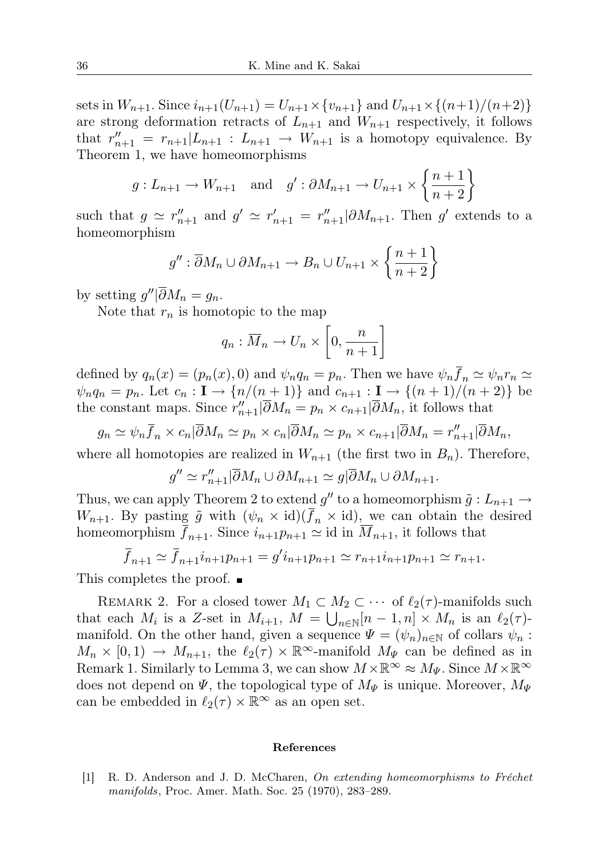sets in  $W_{n+1}$ . Since  $i_{n+1}(U_{n+1}) = U_{n+1} \times \{v_{n+1}\}\$  and  $U_{n+1} \times \{(n+1)/(n+2)\}\$ are strong deformation retracts of  $L_{n+1}$  and  $W_{n+1}$  respectively, it follows that  $r''_{n+1} = r_{n+1}|L_{n+1} : L_{n+1} \rightarrow W_{n+1}$  is a homotopy equivalence. By Theorem 1, we have homeomorphisms

$$
g: L_{n+1} \to W_{n+1}
$$
 and  $g': \partial M_{n+1} \to U_{n+1} \times \left\{ \frac{n+1}{n+2} \right\}$ 

such that  $g \simeq r''_{n+1}$  and  $g' \simeq r'_{n+1} = r''_{n+1} \geq \frac{\partial M_{n+1}}{\partial n}$ . Then g' extends to a homeomorphism

$$
g'' : \overline{\partial} M_n \cup \partial M_{n+1} \to B_n \cup U_{n+1} \times \left\{ \frac{n+1}{n+2} \right\}
$$

by setting  $g''|\overline{\partial}M_n = g_n$ .

Note that  $r_n$  is homotopic to the map

$$
q_n: \overline{M}_n \to U_n \times \left[0, \frac{n}{n+1}\right]
$$

defined by  $q_n(x) = (p_n(x), 0)$  and  $\psi_n q_n = p_n$ . Then we have  $\psi_n \overline{f}_n \simeq \psi_n r_n \simeq$  $\psi_n q_n = p_n$ . Let  $c_n : I \to \{n/(n+1)\}\$ and  $c_{n+1} : I \to \{(n+1)/(n+2)\}\$ be the constant maps. Since  $r''_{n+1}|\overline{\partial}M_n = p_n \times c_{n+1}|\overline{\partial}M_n$ , it follows that

 $g_n \simeq \psi_n \overline{f}_n \times c_n |\overline{\partial} M_n \simeq p_n \times c_n |\overline{\partial} M_n \simeq p_n \times c_{n+1} |\overline{\partial} M_n = r''_{n+1} |\overline{\partial} M_n,$ 

where all homotopies are realized in  $W_{n+1}$  (the first two in  $B_n$ ). Therefore,

$$
g'' \simeq r''_{n+1} |\overline{\partial} M_n \cup \partial M_{n+1} \simeq g |\overline{\partial} M_n \cup \partial M_{n+1}.
$$

Thus, we can apply Theorem 2 to extend  $g''$  to a homeomorphism  $\tilde{g}: L_{n+1} \to$  $W_{n+1}$ . By pasting  $\tilde{g}$  with  $(\psi_n \times id)(\bar{f}_n \times id)$ , we can obtain the desired homeomorphism  $\bar{f}_{n+1}$ . Since  $i_{n+1}p_{n+1} \simeq i$ d in  $\bar{M}_{n+1}$ , it follows that

$$
\bar{f}_{n+1} \simeq \bar{f}_{n+1} i_{n+1} p_{n+1} = g' i_{n+1} p_{n+1} \simeq r_{n+1} i_{n+1} p_{n+1} \simeq r_{n+1}.
$$

This completes the proof. ■

REMARK 2. For a closed tower  $M_1 \subset M_2 \subset \cdots$  of  $\ell_2(\tau)$ -manifolds such that each  $M_i$  is a Z-set in  $M_{i+1}$ ,  $M = \bigcup_{n \in \mathbb{N}} [n-1, n] \times M_n$  is an  $\ell_2(\tau)$ manifold. On the other hand, given a sequence  $\Psi = (\psi_n)_{n \in \mathbb{N}}$  of collars  $\psi_n$ :  $M_n \times [0,1) \to M_{n+1}$ , the  $\ell_2(\tau) \times \mathbb{R}^\infty$ -manifold  $M_\Psi$  can be defined as in Remark 1. Similarly to Lemma 3, we can show  $M \times \mathbb{R}^{\infty} \approx M_{\Psi}$ . Since  $M \times \mathbb{R}^{\infty}$ does not depend on  $\Psi$ , the topological type of  $M_{\Psi}$  is unique. Moreover,  $M_{\Psi}$ can be embedded in  $\ell_2(\tau) \times \mathbb{R}^\infty$  as an open set.

## References

[1] R. D. Anderson and J. D. McCharen, On extending homeomorphisms to Fréchet manifolds, Proc. Amer. Math. Soc. 25 (1970), 283–289.